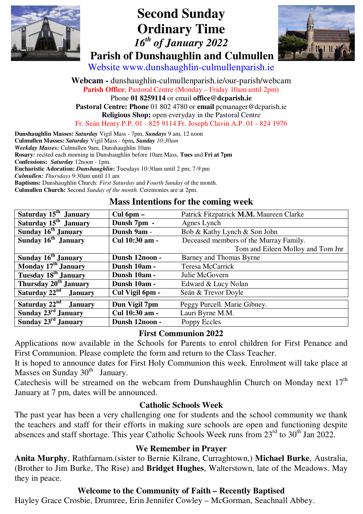

# **Second Sunday Ordinary Time**   *16th of January 2022*   **Parish of Dunshaughlin and Culmullen**



Website www.dunshaughlin-culmullenparish.ie

**Webcam -** dunshaughlin-culmullenparish.ie/our-parish/webcam **Parish Office**; Pastoral Centre (Monday – Friday 10am until 2pm) Phone **01 8259114** or email **office@dcparish.ie Pastoral Centre: Phone** 01 802 4780 or **email** pcmanager@dcparish.ie **Religious Shop;** open everyday in the Pastoral Centre Fr. Seán Henry P.P. 01 - 825 9114 Fr. Joseph Clavin A.P. 01 - 824 1976

**Dunshaughlin Masses:** *Saturday* Vigil Mass - 7pm, *Sundays* 9 am, 12 noon **Culmullen Masses:** *Saturday* Vigil Mass - 6pm**,** *Sunday 10:30am Weekday Masses:* Culmullen 9am, Dunshaughlin 10am **Rosary***:* recited each morning in Dunshaughlin before 10am Mass, **Tues** and **Fri at 7pm Confessions:** *Saturday* 12noon - 1pm. **Eucharistic Adoration:** *Dunshaughlin***:** Tuesdays 10:30am until 2 pm; 7-9 pm *Culmullen: Thursdays* 9:30am until 11 am **Baptisms:** Dunshaughlin Church: *First Saturday* and *Fourth Sunday* of the month. **Culmullen Church:** Second *Sunday of the month.* Ceremonies are at 2pm.

#### **Mass Intentions for the coming week**

| Saturday 15 <sup>th</sup> January    | $Cul$ 6pm $-$   | Patrick Fitzpatrick M.M. Maureen Clarke |
|--------------------------------------|-----------------|-----------------------------------------|
| Saturday 15 <sup>th</sup> January    | Dunsh 7pm -     | Agnes Lynch                             |
| Sunday 16 <sup>th</sup> January      | Dunsh 9am -     | Bob & Kathy Lynch & Son John            |
| Sunday 16 <sup>th</sup> January      | Cul 10:30 am -  | Deceased members of the Murray Family.  |
|                                      |                 | Tom and Eileen Molloy and Tom Jnr       |
| Sunday 16 <sup>th</sup> January      | Dunsh 12noon -  | Barney and Thomas Byrne                 |
| Monday 17 <sup>th</sup> January      | Dunsh 10am -    | Teresa McCarrick                        |
| Tuesday 18 <sup>th</sup> January     | Dunsh 10am -    | Julie McGovern                          |
| Thursday 20 <sup>th</sup> January    | Dunsh 10am -    | Edward & Lucy Nolan                     |
| Saturday $22nd$<br><b>January</b>    | Cul Vigil 6pm - | Seán & Trevor Doyle                     |
| Saturday $22^{nd}$<br><b>January</b> | Dun Vigil 7pm   | Peggy Purcell. Marie Gibney.            |
| Sunday 23 <sup>rd</sup> January      | Cul 10:30 am -  | Lauri Byrne M.M.                        |
| Sunday 23 <sup>rd</sup> January      | Dunsh 12noon -  | Poppy Eccles                            |

#### **First Communion 2022**

Applications now available in the Schools for Parents to enrol children for First Penance and First Communion. Please complete the form and return to the Class Teacher.

It is hoped to announce dates for First Holy Communion this week. Enrolment will take place at Masses on Sunday  $30<sup>th</sup>$  January.

Catechesis will be streamed on the webcam from Dunshaughlin Church on Monday next  $17<sup>th</sup>$ January at 7 pm, dates will be announced.

#### **Catholic Schools Week**

The past year has been a very challenging one for students and the school community we thank the teachers and staff for their efforts in making sure schools are open and functioning despite absences and staff shortage. This year Catholic Schools Week runs from  $23<sup>rd</sup>$  to  $30<sup>th</sup>$  Jan 2022.

#### **We Remember in Prayer**

**Anita Murphy**, Rathfarnam.(sister to Bernie Kilrane, Curraghtown,) **Michael Burke**, Australia, (Brother to Jim Burke, The Rise) and **Bridget Hughes**, Walterstown, late of the Meadows. May they in peace.

#### **Welcome to the Community of Faith – Recently Baptised**

Hayley Grace Crosbie, Drumree, Erin Jennifer Cowley – McGorman, Seachnall Abbey.